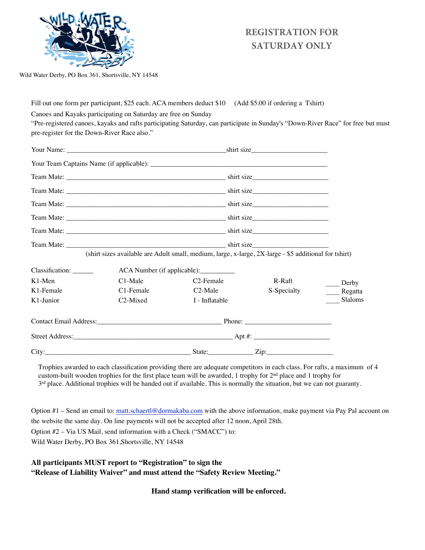

## **REGISTRATION FOR SATURDAY ONLY**

Wild Water Derby, PO Box 361, Shortsville, NY 14548

Fill out one form per participant, \$25 each. ACA members deduct \$10 (Add \$5.00 if ordering a Tshirt)

Canoes and Kayaks participating on Saturday are free on Sunday

"Pre-registered canoes, kayaks and rafts participating Saturday, can participate in Sunday's "Down-River Race" for free but must pre-register for the Down-River Race also."

| K1-Junior               | C <sub>2</sub> -Mixed                                                                                                                                                                                                                                                                                                                                                                                       | I - Inflatable                                                                                                                                                                                                                                                                                                                                                                                              |                                                                                                                                                                                                                                                                                                                                                                                                             | Slaloms |
|-------------------------|-------------------------------------------------------------------------------------------------------------------------------------------------------------------------------------------------------------------------------------------------------------------------------------------------------------------------------------------------------------------------------------------------------------|-------------------------------------------------------------------------------------------------------------------------------------------------------------------------------------------------------------------------------------------------------------------------------------------------------------------------------------------------------------------------------------------------------------|-------------------------------------------------------------------------------------------------------------------------------------------------------------------------------------------------------------------------------------------------------------------------------------------------------------------------------------------------------------------------------------------------------------|---------|
| K1-Female               | C1-Female                                                                                                                                                                                                                                                                                                                                                                                                   | C <sub>2</sub> -Male                                                                                                                                                                                                                                                                                                                                                                                        | S-Specialty                                                                                                                                                                                                                                                                                                                                                                                                 | Regatta |
| $K1-Men$                | $C1-Male$                                                                                                                                                                                                                                                                                                                                                                                                   | C <sub>2</sub> -Female                                                                                                                                                                                                                                                                                                                                                                                      | R-Raft                                                                                                                                                                                                                                                                                                                                                                                                      | Derby   |
| Classification: _______ | ACA Number (if applicable):                                                                                                                                                                                                                                                                                                                                                                                 |                                                                                                                                                                                                                                                                                                                                                                                                             |                                                                                                                                                                                                                                                                                                                                                                                                             |         |
|                         |                                                                                                                                                                                                                                                                                                                                                                                                             | (shirt sizes available are Adult small, medium, large, x-large, 2X-large - \$5 additional for tshirt)                                                                                                                                                                                                                                                                                                       |                                                                                                                                                                                                                                                                                                                                                                                                             |         |
|                         | Team Mate: $\frac{1}{\sqrt{1-\frac{1}{2}}\sqrt{1-\frac{1}{2}}\sqrt{1-\frac{1}{2}}\sqrt{1-\frac{1}{2}}\sqrt{1-\frac{1}{2}}\sqrt{1-\frac{1}{2}}\sqrt{1-\frac{1}{2}}\sqrt{1-\frac{1}{2}}\sqrt{1-\frac{1}{2}}\sqrt{1-\frac{1}{2}}\sqrt{1-\frac{1}{2}}\sqrt{1-\frac{1}{2}}\sqrt{1-\frac{1}{2}}\sqrt{1-\frac{1}{2}}\sqrt{1-\frac{1}{2}}\sqrt{1-\frac{1}{2}}\sqrt{1-\frac{1}{2}}\sqrt{1-\frac{1}{2}}\sqrt{1-\frac$ |                                                                                                                                                                                                                                                                                                                                                                                                             |                                                                                                                                                                                                                                                                                                                                                                                                             |         |
|                         |                                                                                                                                                                                                                                                                                                                                                                                                             |                                                                                                                                                                                                                                                                                                                                                                                                             | Team Mate: $\frac{1}{\sqrt{1-\frac{1}{2}}\sqrt{1-\frac{1}{2}}\sqrt{1-\frac{1}{2}}\sqrt{1-\frac{1}{2}}\sqrt{1-\frac{1}{2}}\sqrt{1-\frac{1}{2}}\sqrt{1-\frac{1}{2}}\sqrt{1-\frac{1}{2}}\sqrt{1-\frac{1}{2}}\sqrt{1-\frac{1}{2}}\sqrt{1-\frac{1}{2}}\sqrt{1-\frac{1}{2}}\sqrt{1-\frac{1}{2}}\sqrt{1-\frac{1}{2}}\sqrt{1-\frac{1}{2}}\sqrt{1-\frac{1}{2}}\sqrt{1-\frac{1}{2}}\sqrt{1-\frac{1}{2}}\sqrt{1-\frac$ |         |
|                         |                                                                                                                                                                                                                                                                                                                                                                                                             |                                                                                                                                                                                                                                                                                                                                                                                                             |                                                                                                                                                                                                                                                                                                                                                                                                             |         |
|                         |                                                                                                                                                                                                                                                                                                                                                                                                             |                                                                                                                                                                                                                                                                                                                                                                                                             |                                                                                                                                                                                                                                                                                                                                                                                                             |         |
|                         |                                                                                                                                                                                                                                                                                                                                                                                                             | Team Mate: $\frac{1}{\sqrt{1-\frac{1}{2}}\sqrt{1-\frac{1}{2}}\sqrt{1-\frac{1}{2}}\sqrt{1-\frac{1}{2}}\sqrt{1-\frac{1}{2}}\sqrt{1-\frac{1}{2}}\sqrt{1-\frac{1}{2}}\sqrt{1-\frac{1}{2}}\sqrt{1-\frac{1}{2}}\sqrt{1-\frac{1}{2}}\sqrt{1-\frac{1}{2}}\sqrt{1-\frac{1}{2}}\sqrt{1-\frac{1}{2}}\sqrt{1-\frac{1}{2}}\sqrt{1-\frac{1}{2}}\sqrt{1-\frac{1}{2}}\sqrt{1-\frac{1}{2}}\sqrt{1-\frac{1}{2}}\sqrt{1-\frac$ |                                                                                                                                                                                                                                                                                                                                                                                                             |         |
|                         |                                                                                                                                                                                                                                                                                                                                                                                                             |                                                                                                                                                                                                                                                                                                                                                                                                             |                                                                                                                                                                                                                                                                                                                                                                                                             |         |
|                         |                                                                                                                                                                                                                                                                                                                                                                                                             |                                                                                                                                                                                                                                                                                                                                                                                                             |                                                                                                                                                                                                                                                                                                                                                                                                             |         |

Trophies awarded to each classification providing there are adequate competitors in each class. For rafts, a maximum of 4 custom-built wooden trophies for the first place team will be awarded, 1 trophy for 2nd place and 1 trophy for  $3<sup>rd</sup>$  place. Additional trophies will be handed out if available. This is normally the situation, but we can not guaranty.

Option #1 – Send an email to: matt.schaertl@[dormakaba](mailto:mschaertl@stanleyworks.com).com with the above information, make payment via Pay Pal account on the website the same day. On line payments will not be accepted after 12 noon, April 28th. Option #2 – Via US Mail, send information with a Check ("SMACC") to: Wild Water Derby, PO Box 361,Shortsville, NY 14548

**All participants MUST report to "Registration" to sign the "Release of Liability Waiver" and must attend the "Safety Review Meeting."**

**Hand stamp verification will be enforced.**